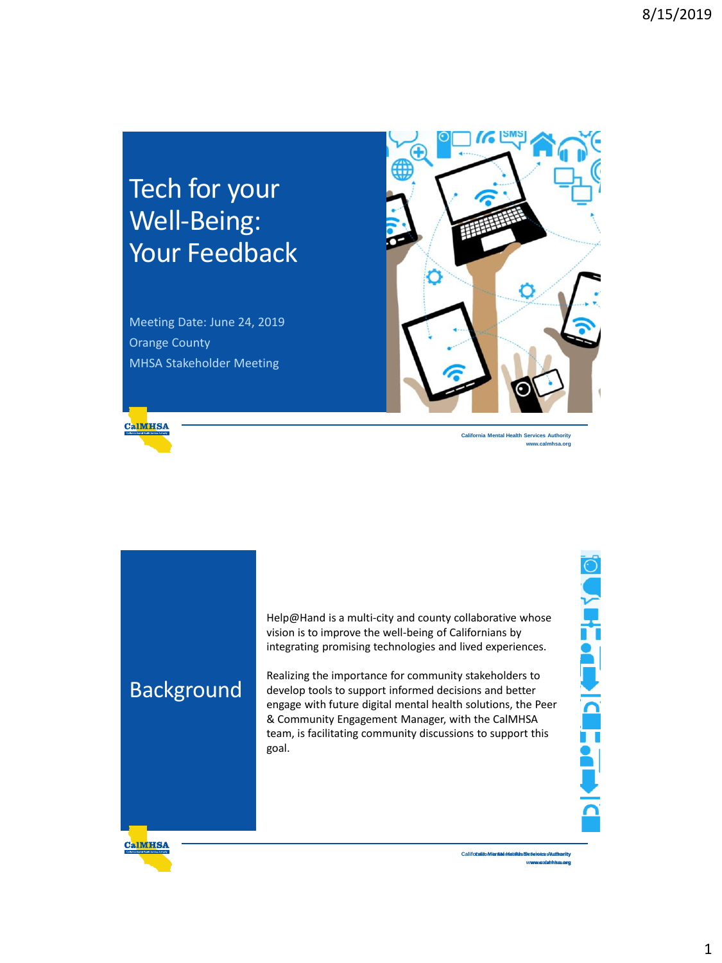## Tech for your Well-Being: Your Feedback

Meeting Date: June 24, 2019 Orange County MHSA Stakeholder Meeting



**California Mental Health Services Authority www.calmhsa.org**

Background

vision is to improve the well-being of Californians by integrating promising technologies and lived experiences.

**Californical Help@Hand is a multi-city and county collaborative whose vision is to improve the well-being of Californians by integrating promising technologies and lived experiences.<br>Realizing the importance for community** Realizing the importance for community stakeholders to develop tools to support informed decisions and better engage with future digital mental health solutions, the Peer & Community Engagement Manager, with the CalMHSA team, is facilitating community discussions to support this goal.

**California Mental Health Services Authority**

**www.calmhsa.org**

**CalMHSA** 

ONTHLOW <u>icapat</u>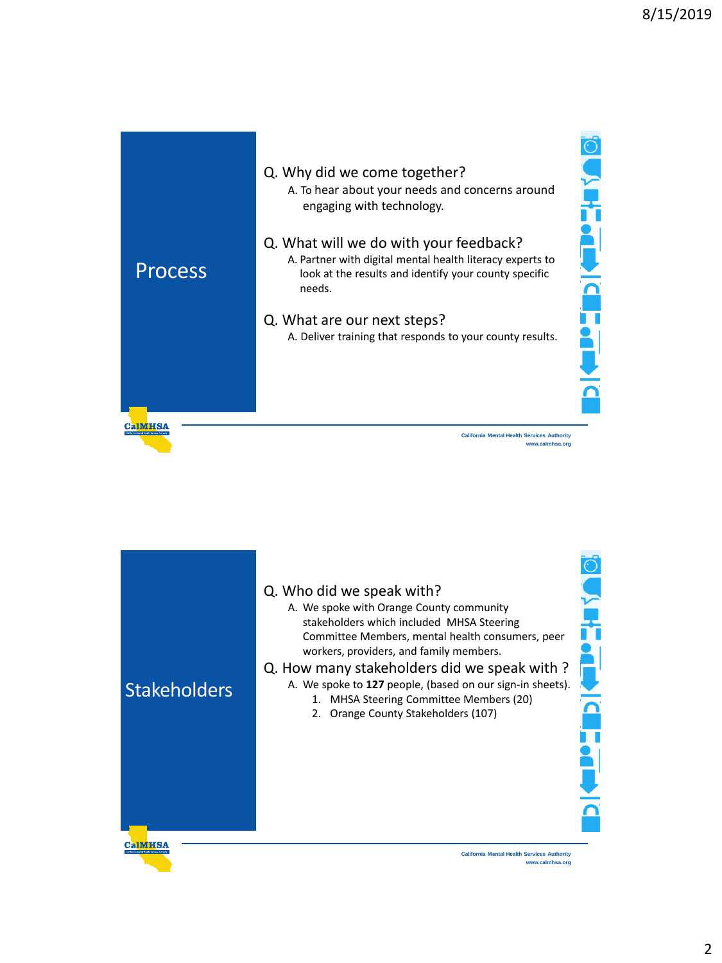

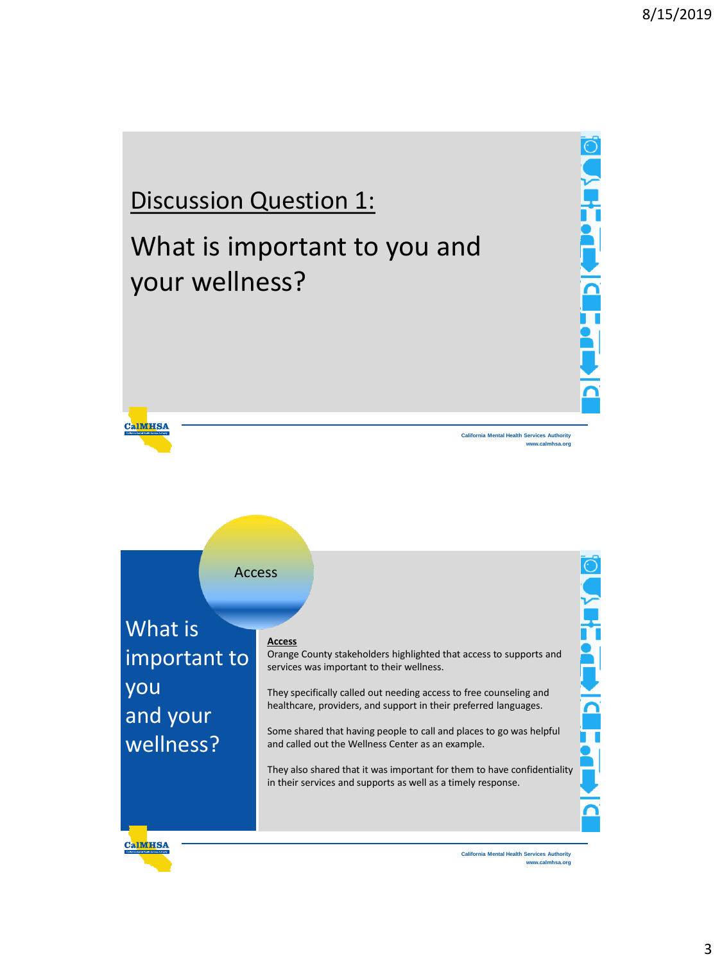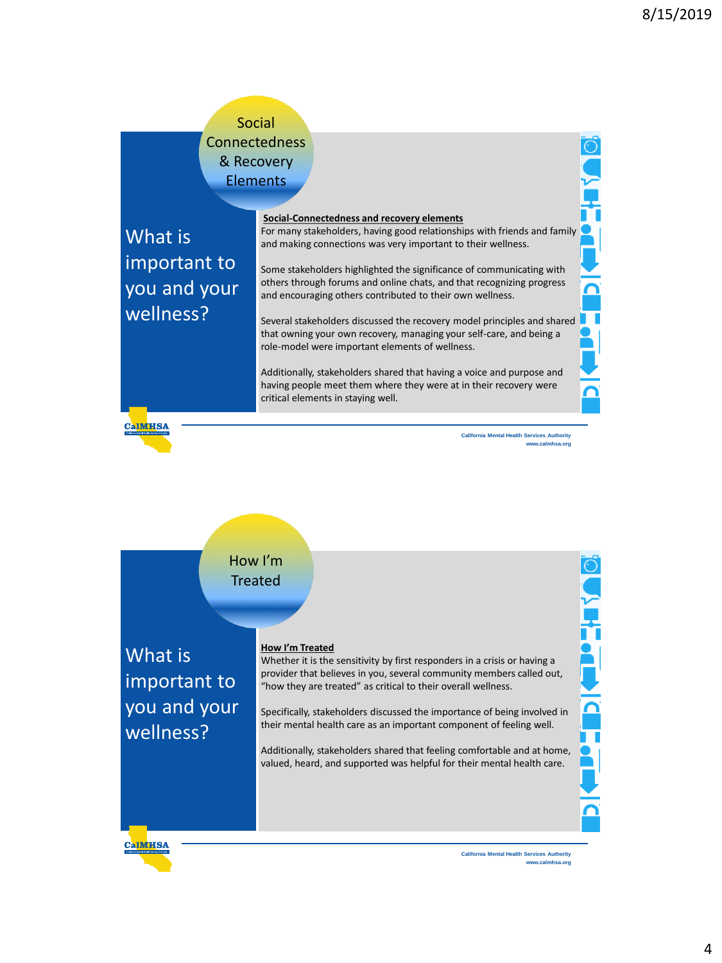## Social **Connectedness** & Recovery **Elements**

What is important to you and your wellness?

#### **Social-Connectedness and recovery elements**

For many stakeholders, having good relationships with friends and family and making connections was very important to their wellness.

Some stakeholders highlighted the significance of communicating with others through forums and online chats, and that recognizing progress and encouraging others contributed to their own wellness.

Several stakeholders discussed the recovery model principles and shared that owning your own recovery, managing your self-care, and being a role-model were important elements of wellness.

Additionally, stakeholders shared that having a voice and purpose and having people meet them where they were at in their recovery were critical elements in staying well.

**CalMHSA** 

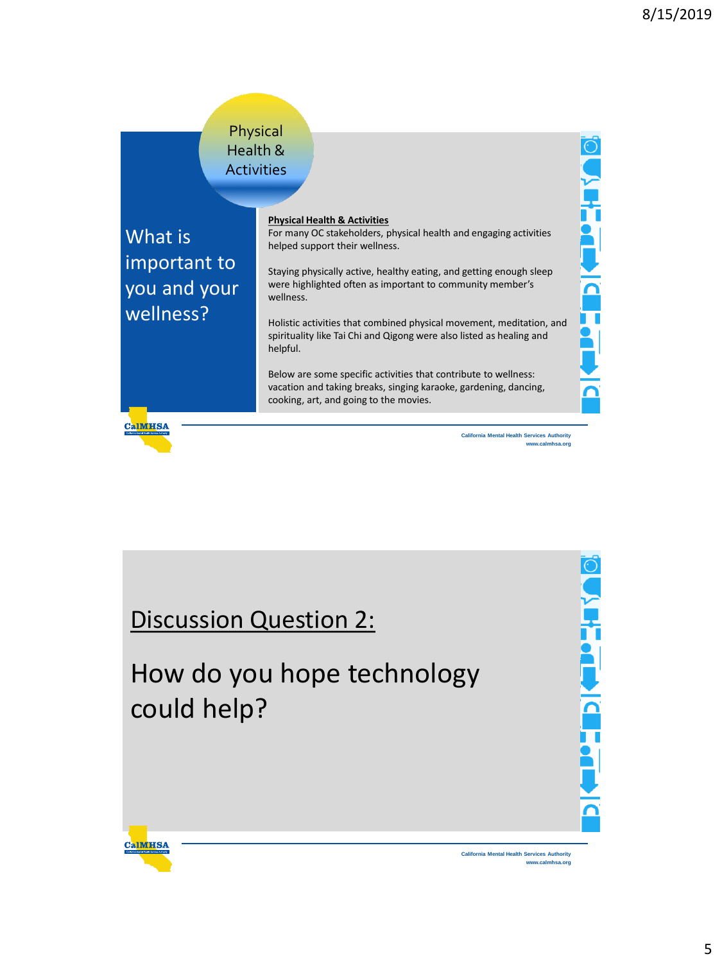Ō

**Contents** 

 $\frac{1}{\Omega}$ 

π  $\blacksquare$ 

## Physical Health & **Activities**

What is important to you and your wellness?

**CalMHSA** 

**CalMHSA** 

#### **Physical Health & Activities**

For many OC stakeholders, physical health and engaging activities helped support their wellness.

Staying physically active, healthy eating, and getting enough sleep were highlighted often as important to community member's wellness.

Holistic activities that combined physical movement, meditation, and spirituality like Tai Chi and Qigong were also listed as healing and helpful.

Below are some specific activities that contribute to wellness: vacation and taking breaks, singing karaoke, gardening, dancing, cooking, art, and going to the movies.

> **California Mental Health Services Authority www.calmhsa.org**

## Discussion Question 2:

# How do you hope technology could help?

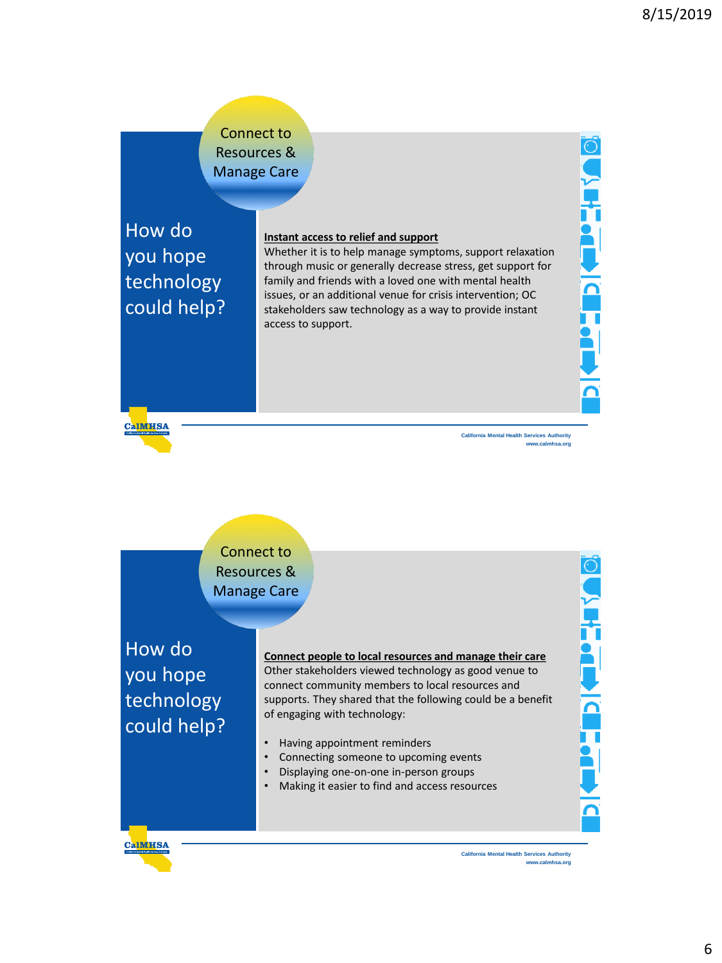## Connect to Resources & Manage Care

How do you hope technology could help?

#### **Instant access to relief and support**

Whether it is to help manage symptoms, support relaxation through music or generally decrease stress, get support for family and friends with a loved one with mental health issues, or an additional venue for crisis intervention; OC stakeholders saw technology as a way to provide instant access to support.

**CalMHSA** 

**California Mental Health Services Authority www.calmhsa.org** **VEHERLEN CE** 

**T** 



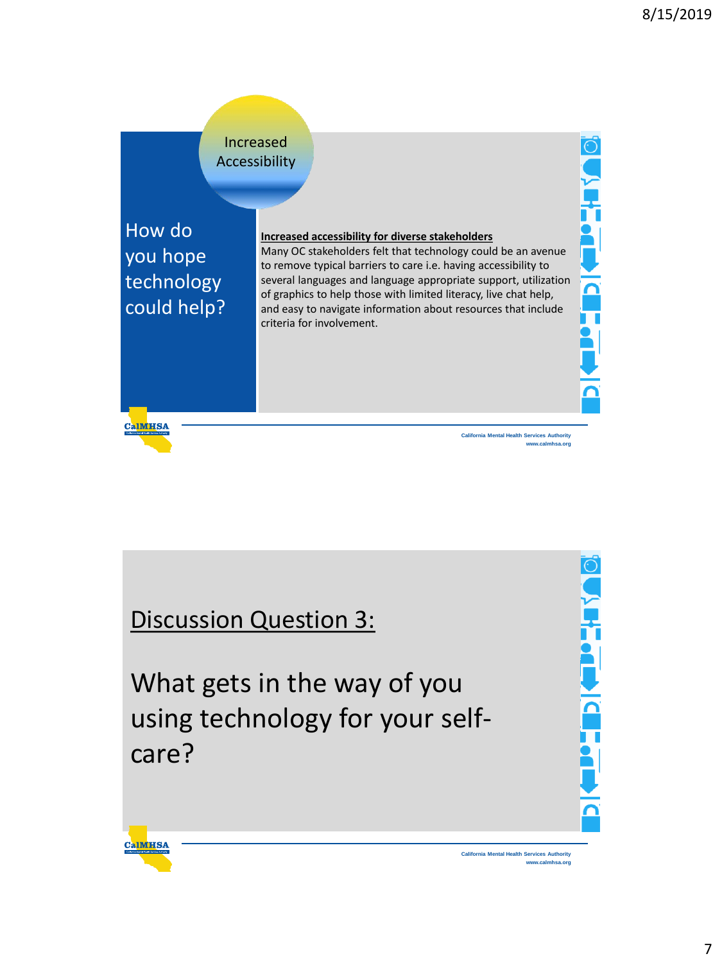

Discussion Question 3:

**CalMHSA** 

What gets in the way of you using technology for your selfcare?

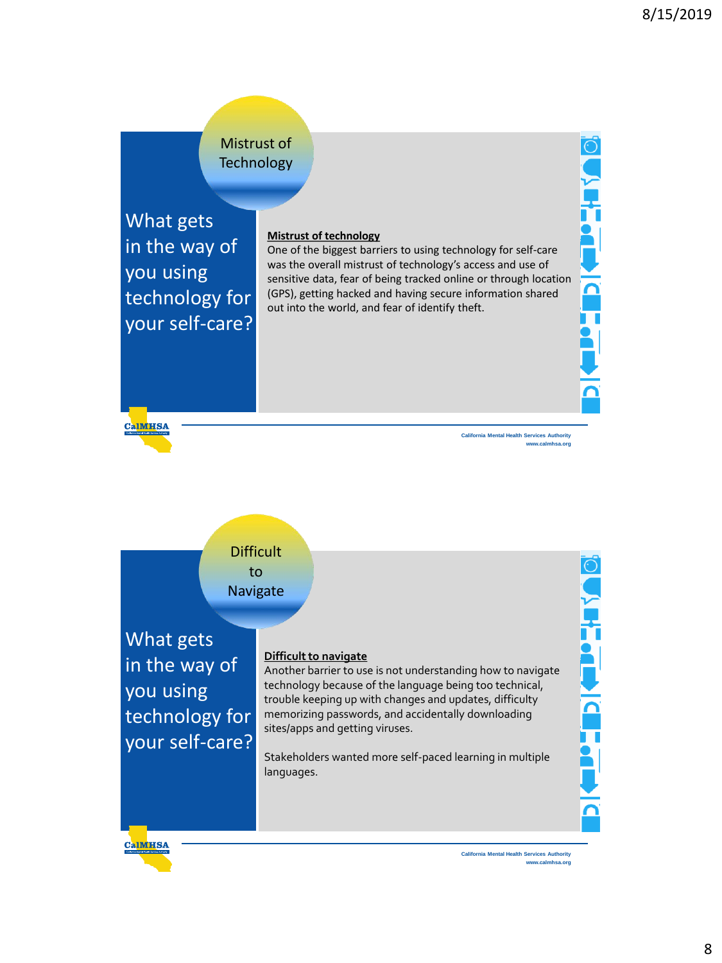## Mistrust of **Technology**

What gets in the way of you using technology for your self-care?

#### **Mistrust of technology**

One of the biggest barriers to using technology for self-care was the overall mistrust of technology's access and use of sensitive data, fear of being tracked online or through location (GPS), getting hacked and having secure information shared out into the world, and fear of identify theft.

**CalMHSA** 

**California Mental Health Services Authority www.calmhsa.org** **Northern** 

 $\overline{\mathsf{P}}$ 



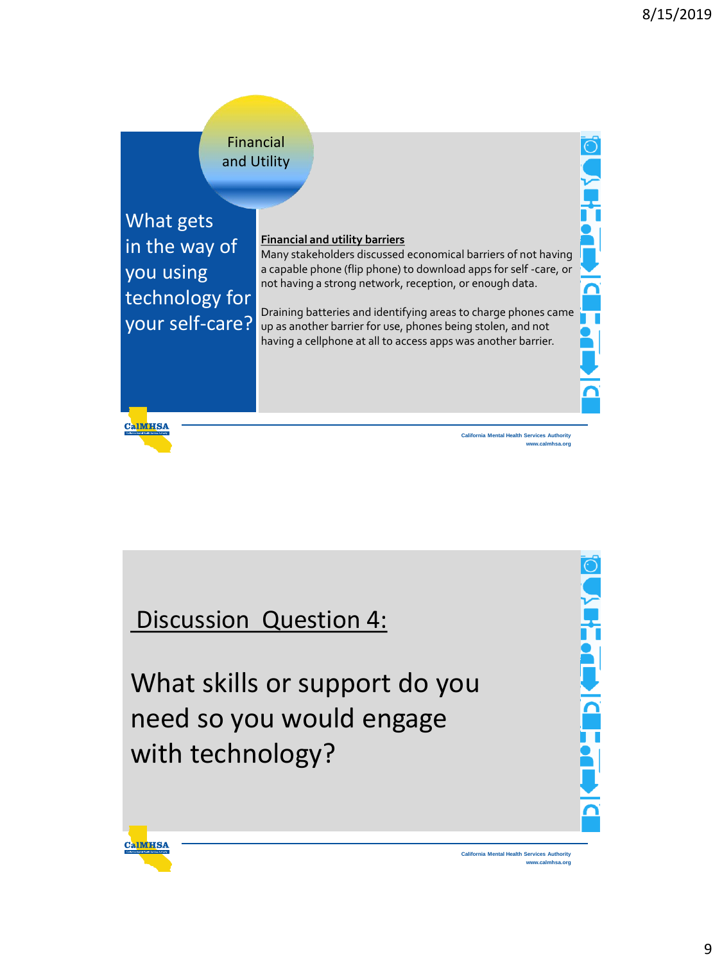

Discussion Question 4:

What skills or support do you need so you would engage with technology?



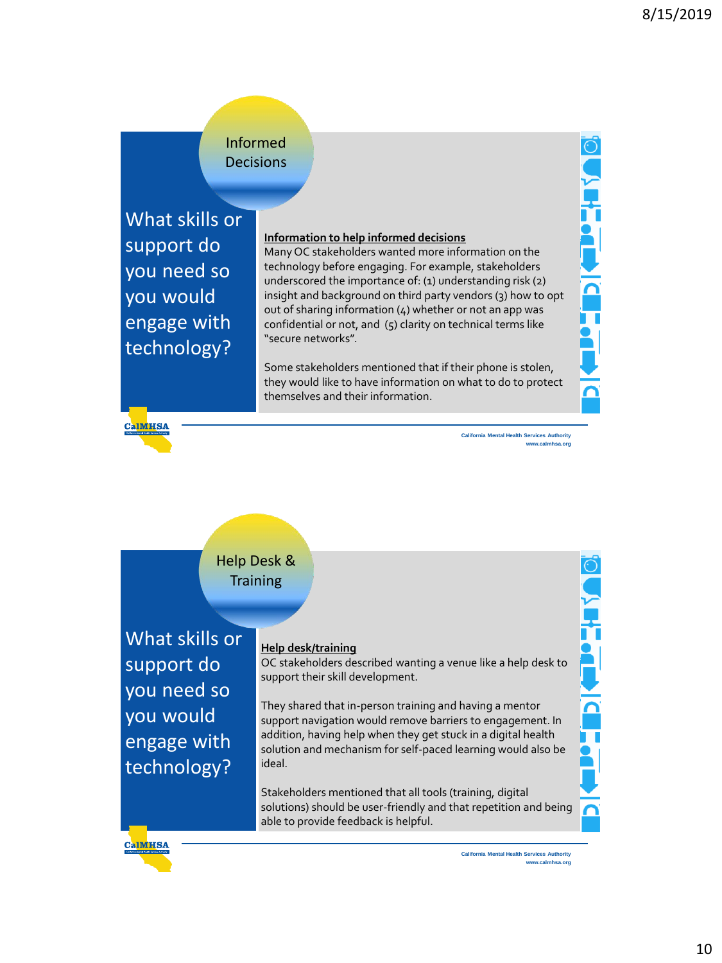### Informed **Decisions**

What skills or support do you need so you would engage with technology?

#### **Information to help informed decisions**

Many OC stakeholders wanted more information on the technology before engaging. For example, stakeholders underscored the importance of: (1) understanding risk (2) insight and background on third party vendors (3) how to opt out of sharing information (4) whether or not an app was confidential or not, and (5) clarity on technical terms like "secure networks".

Some stakeholders mentioned that if their phone is stolen, they would like to have information on what to do to protect themselves and their information.



**California Mental Health Services Authority www.calmhsa.org** **Northea** 

 $\overline{\overline{\Omega}}$ 

I<br>1

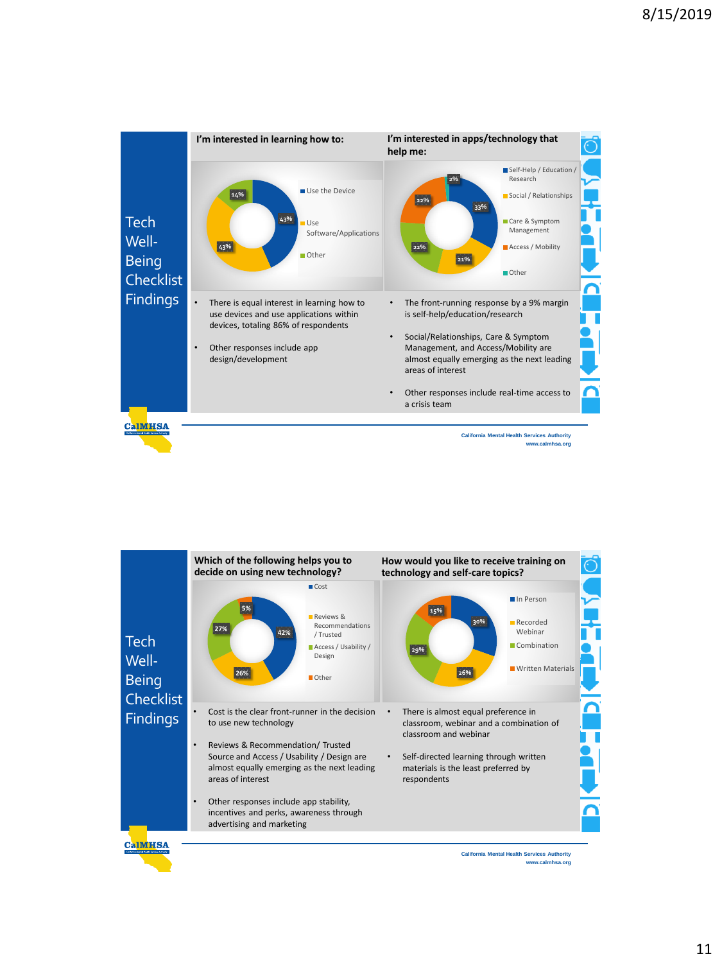